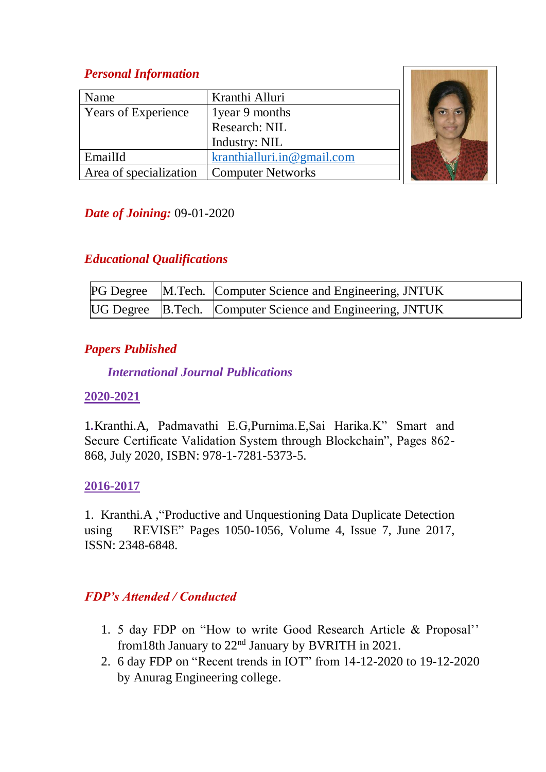## *Personal Information*

| Name                       | Kranthi Alluri             |  |
|----------------------------|----------------------------|--|
| <b>Years of Experience</b> | 1 year 9 months            |  |
|                            | Research: NIL              |  |
|                            | Industry: NIL              |  |
| EmailId                    | kranthialluri.in@gmail.com |  |
| Area of specialization     | <b>Computer Networks</b>   |  |

## *Date of Joining:* 09-01-2020

### *Educational Qualifications*

|  | <b>PG Degree</b> M.Tech. Computer Science and Engineering, JNTUK |
|--|------------------------------------------------------------------|
|  | UG Degree B.Tech. Computer Science and Engineering, JNTUK        |

### *Papers Published*

### *International Journal Publications*

#### **2020-2021**

1*.*Kranthi.A, Padmavathi E.G,Purnima.E,Sai Harika.K" Smart and Secure Certificate Validation System through Blockchain", Pages 862- 868, July 2020, ISBN: 978-1-7281-5373-5.

### **2016-2017**

1. Kranthi.A ,"Productive and Unquestioning Data Duplicate Detection using REVISE" Pages 1050-1056, Volume 4, Issue 7, June 2017, ISSN: 2348-6848.

## *FDP's Attended / Conducted*

- 1. 5 day FDP on "How to write Good Research Article & Proposal'' from18th January to 22nd January by BVRITH in 2021.
- 2. 6 day FDP on "Recent trends in IOT" from 14-12-2020 to 19-12-2020 by Anurag Engineering college.